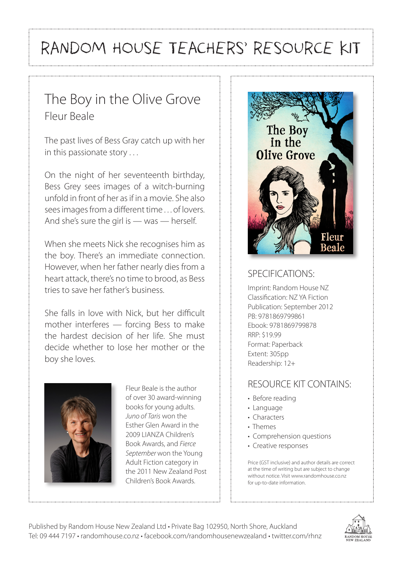# RANDOM HOUSE TEACHERS' RESOURCE KIT

# The Boy in the Olive Grove Fleur Beale

The past lives of Bess Gray catch up with her in this passionate story . . .

On the night of her seventeenth birthday, Bess Grey sees images of a witch-burning unfold in front of her as if in a movie. She also sees images from a different time . . . of lovers. And she's sure the girl is — was — herself.

When she meets Nick she recognises him as the boy. There's an immediate connection. However, when her father nearly dies from a heart attack, there's no time to brood, as Bess tries to save her father's business.

She falls in love with Nick, but her difficult mother interferes — forcing Bess to make the hardest decision of her life. She must decide whether to lose her mother or the boy she loves.



Fleur Beale is the author of over 30 award-winning books for young adults. *Juno of Taris* won the Esther Glen Award in the 2009 LIANZA Children's Book Awards, and *Fierce September* won the Young Adult Fiction category in the 2011 New Zealand Post Children's Book Awards.



#### SPECIFICATIONS:

Imprint: Random House NZ Classification: NZ YA Fiction Publication: September 2012 PB: 9781869799861 Ebook: 9781869799878 RRP: \$19.99 Format: Paperback Extent: 305pp Readership: 12+

#### RESOURCE KIT CONTAINS:

- Before reading
- Language
- Characters
- Themes
- Comprehension questions
- Creative responses

Price (GST inclusive) and author details are correct at the time of writing but are subject to change without notice. Visit www.randomhouse.co.nz for up-to-date information.

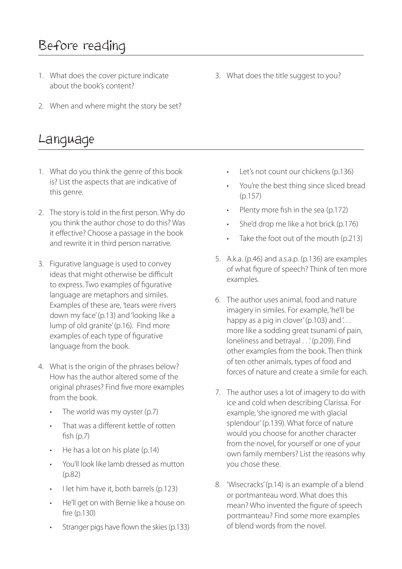# Before reading

- 1. What does the cover picture indicate about the book's content?
- 2. When and where might the story be set?

#### Language

- 1. What do you think the genre of this book is? List the aspects that are indicative of this genre.
- 2. The story is told in the first person. Why do you think the author chose to do this? Was it effective? Choose a passage in the book and rewrite it in third person narrative.
- 3. Figurative language is used to convey ideas that might otherwise be difficult to express. Two examples of figurative language are metaphors and similes. Examples of these are, *'*tears were rivers down my face' (p.13) and 'looking like a lump of old granite' (p.16). Find more examples of each type of figurative language from the book.
- 4. What is the origin of the phrases below? How has the author altered some of the original phrases? Find five more examples from the book.
	- The world was my oyster (p.7)
	- That was a different kettle of rotten fish (p.7)
	- He has a lot on his plate (p.14)
	- You'll look like lamb dressed as mutton (p.82)
	- I let him have it, both barrels (p.123)
	- He'll get on with Bernie like a house on fire (p.130)
	- Stranger pigs have flown the skies (p.133)

3. What does the title suggest to you?

- Let's not count our chickens (p.136)
- You're the best thing since sliced bread (p.157)
- Plenty more fish in the sea (p.172)
- She'd drop me like a hot brick (p.176)
- Take the foot out of the mouth (p.213)
- 5. A.k.a. (p.46) and a.s.a.p. (p.136) are examples of what figure of speech? Think of ten more examples.
- 6. The author uses animal, food and nature imagery in similes. For example, 'he'll be happy as a pig in clover' (p.103) and '... more like a sodding great tsunami of pain, loneliness and betrayal . . . ' (p.209). Find other examples from the book. Then think of ten other animals, types of food and forces of nature and create a simile for each.
- 7. The author uses a lot of imagery to do with ice and cold when describing Clarissa. For example, 'she ignored me with glacial splendour' (p.139). What force of nature would you choose for another character from the novel, for yourself or one of your own family members? List the reasons why you chose these.
- 8. 'Wisecracks' (p.14) is an example of a blend or portmanteau word. What does this mean? Who invented the figure of speech portmanteau? Find some more examples of blend words from the novel.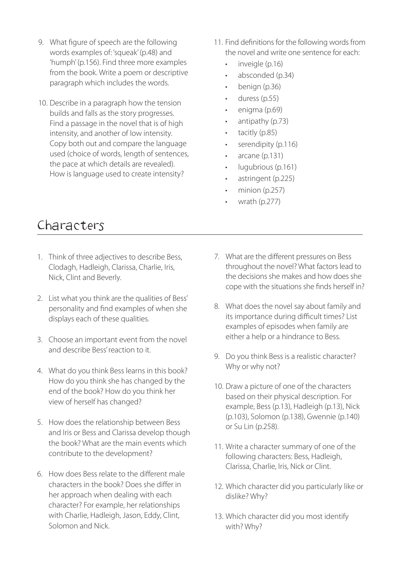- 9. What figure of speech are the following words examples of: 'squeak' (p.48) and 'humph' (p.156). Find three more examples from the book. Write a poem or descriptive paragraph which includes the words.
- 10. Describe in a paragraph how the tension builds and falls as the story progresses. Find a passage in the novel that is of high intensity, and another of low intensity. Copy both out and compare the language used (choice of words, length of sentences, the pace at which details are revealed). How is language used to create intensity?
- 11. Find definitions for the following words from the novel and write one sentence for each:
	- inveigle (p.16)
	- absconded (p.34)
	- benign (p.36)
	- duress (p.55)
	- enigma (p.69)
	- antipathy (p.73)
	- tacitly (p.85)
	- serendipity (p.116)
	- arcane (p.131)
	- lugubrious (p.161)
	- astringent (p.225)
	- minion (p.257)
	- wrath (p.277)

## Characters

- 1. Think of three adjectives to describe Bess, Clodagh, Hadleigh, Clarissa, Charlie, Iris, Nick, Clint and Beverly.
- 2. List what you think are the qualities of Bess' personality and find examples of when she displays each of these qualities.
- 3. Choose an important event from the novel and describe Bess' reaction to it.
- 4. What do you think Bess learns in this book? How do you think she has changed by the end of the book? How do you think her view of herself has changed?
- 5. How does the relationship between Bess and Iris or Bess and Clarissa develop though the book? What are the main events which contribute to the development?
- 6. How does Bess relate to the different male characters in the book? Does she differ in her approach when dealing with each character? For example, her relationships with Charlie, Hadleigh, Jason, Eddy, Clint, Solomon and Nick.
- 7. What are the different pressures on Bess throughout the novel? What factors lead to the decisions she makes and how does she cope with the situations she finds herself in?
- 8. What does the novel say about family and its importance during difficult times? List examples of episodes when family are either a help or a hindrance to Bess.
- 9. Do you think Bess is a realistic character? Why or why not?
- 10. Draw a picture of one of the characters based on their physical description. For example, Bess (p.13), Hadleigh (p.13), Nick (p.103), Solomon (p.138), Gwennie (p.140) or Su Lin (p.258).
- 11. Write a character summary of one of the following characters: Bess, Hadleigh, Clarissa, Charlie, Iris, Nick or Clint.
- 12. Which character did you particularly like or dislike? Why?
- 13. Which character did you most identify with? Why?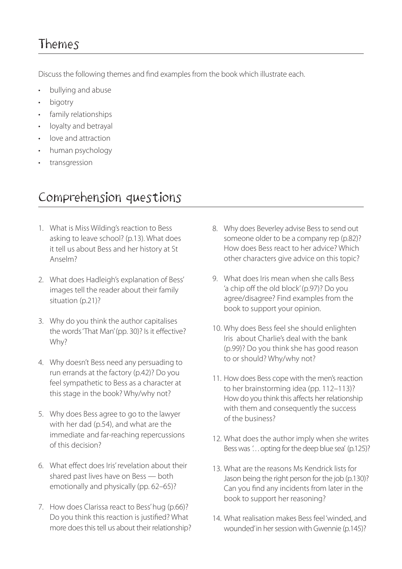## Themes

Discuss the following themes and find examples from the book which illustrate each.

- bullying and abuse
- bigotry
- family relationships
- loyalty and betrayal
- love and attraction
- human psychology
- transgression

## Comprehension questions

- 1. What is Miss Wilding's reaction to Bess asking to leave school? (p.13). What does it tell us about Bess and her history at St Anselm?
- 2. What does Hadleigh's explanation of Bess' images tell the reader about their family situation (p.21)?
- 3. Why do you think the author capitalises the words 'That Man' (pp. 30)? Is it effective? Why?
- 4. Why doesn't Bess need any persuading to run errands at the factory (p.42)? Do you feel sympathetic to Bess as a character at this stage in the book? Why/why not?
- 5. Why does Bess agree to go to the lawyer with her dad (p.54), and what are the immediate and far-reaching repercussions of this decision?
- 6. What effect does Iris' revelation about their shared past lives have on Bess — both emotionally and physically (pp. 62–65)?
- 7. How does Clarissa react to Bess' hug (p.66)? Do you think this reaction is justified? What more does this tell us about their relationship?
- 8. Why does Beverley advise Bess to send out someone older to be a company rep (p.82)? How does Bess react to her advice? Which other characters give advice on this topic?
- 9. What does Iris mean when she calls Bess 'a chip off the old block' (p.97)? Do you agree/disagree? Find examples from the book to support your opinion.
- 10. Why does Bess feel she should enlighten Iris about Charlie's deal with the bank (p.99)? Do you think she has good reason to or should? Why/why not?
- 11. How does Bess cope with the men's reaction to her brainstorming idea (pp. 112–113)? How do you think this affects her relationship with them and consequently the success of the business?
- 12. What does the author imply when she writes Bess was '... opting for the deep blue sea' (p.125)?
- 13. What are the reasons Ms Kendrick lists for Jason being the right person for the job (p.130)? Can you find any incidents from later in the book to support her reasoning?
- 14. What realisation makes Bess feel 'winded, and wounded' in her session with Gwennie (p.145)?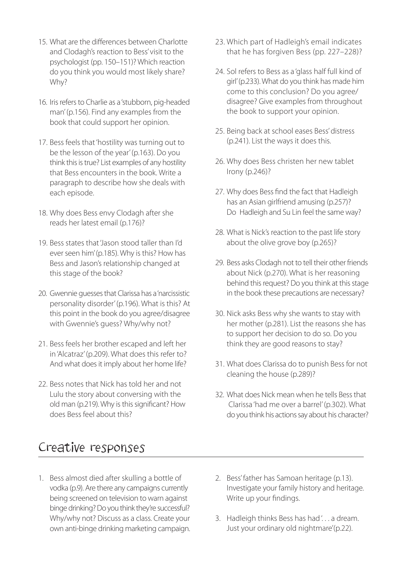- 15. What are the differences between Charlotte and Clodagh's reaction to Bess' visit to the psychologist (pp. 150–151)? Which reaction do you think you would most likely share? Why?
- 16. Iris refers to Charlie as a 'stubborn, pig-headed man' (p.156). Find any examples from the book that could support her opinion.
- 17. Bess feels that 'hostility was turning out to be the lesson of the year' (p.163). Do you think this is true? List examples of any hostility that Bess encounters in the book. Write a paragraph to describe how she deals with each episode.
- 18. Why does Bess envy Clodagh after she reads her latest email (p.176)?
- 19. Bess states that 'Jason stood taller than I'd ever seen him' (p.185). Why is this? How has Bess and Jason's relationship changed at this stage of the book?
- 20. Gwennie guesses that Clarissa has a 'narcissistic personality disorder' (p.196). What is this? At this point in the book do you agree/disagree with Gwennie's guess? Why/why not?
- 21. Bess feels her brother escaped and left her in 'Alcatraz' (p.209). What does this refer to? And what does it imply about her home life?
- 22. Bess notes that Nick has told her and not Lulu the story about conversing with the old man (p.219). Why is this significant? How does Bess feel about this?

## Creative responses

- 23. Which part of Hadleigh's email indicates that he has forgiven Bess (pp. 227–228)?
- 24. Sol refers to Bess as a 'glass half full kind of girl' (p.233). What do you think has made him come to this conclusion? Do you agree/ disagree? Give examples from throughout the book to support your opinion.
- 25. Being back at school eases Bess' distress (p.241). List the ways it does this.
- 26. Why does Bess christen her new tablet Irony (p.246)?
- 27. Why does Bess find the fact that Hadleigh has an Asian girlfriend amusing (p.257)? Do Hadleigh and Su Lin feel the same way?
- 28. What is Nick's reaction to the past life story about the olive grove boy (p.265)?
- 29. Bess asks Clodagh not to tell their other friends about Nick (p.270). What is her reasoning behind this request? Do you think at this stage in the book these precautions are necessary?
- 30. Nick asks Bess why she wants to stay with her mother (p.281). List the reasons she has to support her decision to do so. Do you think they are good reasons to stay?
- 31. What does Clarissa do to punish Bess for not cleaning the house (p.289)?
- 32. What does Nick mean when he tells Bess that Clarissa 'had me over a barrel' (p.302). What do you think his actions say about his character?

- 1. Bess almost died after skulling a bottle of vodka (p.9). Are there any campaigns currently being screened on television to warn against binge drinking? Do you think they're successful? Why/why not? Discuss as a class. Create your own anti-binge drinking marketing campaign.
- 2. Bess' father has Samoan heritage (p.13). Investigate your family history and heritage. Write up your findings.
- 3. Hadleigh thinks Bess has had '... a dream. Just your ordinary old nightmare'(p.22).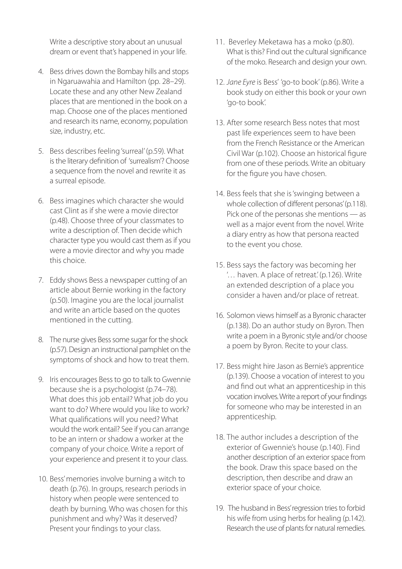Write a descriptive story about an unusual dream or event that's happened in your life.

- 4. Bess drives down the Bombay hills and stops in Ngaruawahia and Hamilton (pp. 28–29). Locate these and any other New Zealand places that are mentioned in the book on a map. Choose one of the places mentioned and research its name, economy, population size, industry, etc.
- 5. Bess describes feeling 'surreal' (p.59). What is the literary definition of 'surrealism'? Choose a sequence from the novel and rewrite it as a surreal episode.
- 6. Bess imagines which character she would cast Clint as if she were a movie director (p.48). Choose three of your classmates to write a description of. Then decide which character type you would cast them as if you were a movie director and why you made this choice.
- 7. Eddy shows Bess a newspaper cutting of an article about Bernie working in the factory (p.50). Imagine you are the local journalist and write an article based on the quotes mentioned in the cutting.
- 8. The nurse gives Bess some sugar for the shock (p.57). Design an instructional pamphlet on the symptoms of shock and how to treat them.
- 9. Iris encourages Bess to go to talk to Gwennie because she is a psychologist (p.74–78). What does this job entail? What job do you want to do? Where would you like to work? What qualifications will you need? What would the work entail? See if you can arrange to be an intern or shadow a worker at the company of your choice. Write a report of your experience and present it to your class.
- 10. Bess' memories involve burning a witch to death (p.76). In groups, research periods in history when people were sentenced to death by burning. Who was chosen for this punishment and why? Was it deserved? Present your findings to your class.
- 11. Beverley Meketawa has a moko (p.80). What is this? Find out the cultural significance of the moko. Research and design your own.
- 12. *Jane Eyre* is Bess' 'go-to book' (p.86). Write a book study on either this book or your own 'go-to book'.
- 13. After some research Bess notes that most past life experiences seem to have been from the French Resistance or the American Civil War (p.102). Choose an historical figure from one of these periods. Write an obituary for the figure you have chosen.
- 14. Bess feels that she is 'swinging between a whole collection of different personas' (p.118). Pick one of the personas she mentions — as well as a major event from the novel. Write a diary entry as how that persona reacted to the event you chose.
- 15. Bess says the factory was becoming her '… haven. A place of retreat.' (p.126). Write an extended description of a place you consider a haven and/or place of retreat.
- 16. Solomon views himself as a Byronic character (p.138). Do an author study on Byron. Then write a poem in a Byronic style and/or choose a poem by Byron. Recite to your class.
- 17. Bess might hire Jason as Bernie's apprentice (p.139). Choose a vocation of interest to you and find out what an apprenticeship in this vocation involves. Write a report of your findings for someone who may be interested in an apprenticeship.
- 18. The author includes a description of the exterior of Gwennie's house (p.140). Find another description of an exterior space from the book. Draw this space based on the description, then describe and draw an exterior space of your choice.
- 19. The husband in Bess' regression tries to forbid his wife from using herbs for healing (p.142). Research the use of plants for natural remedies.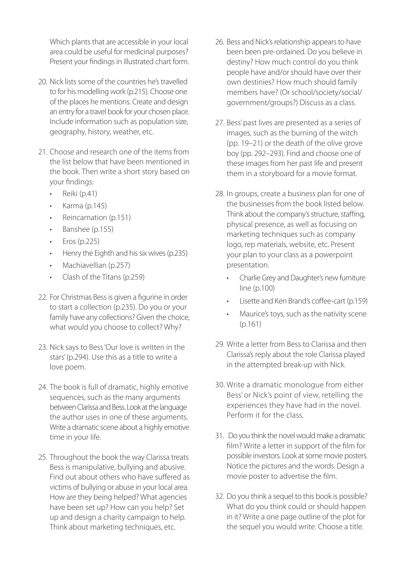Which plants that are accessible in your local area could be useful for medicinal purposes? Present your findings in illustrated chart form.

- 20. Nick lists some of the countries he's travelled to for his modelling work (p.215). Choose one of the places he mentions. Create and design an entry for a travel book for your chosen place. Include information such as population size, geography, history, weather, etc.
- 21. Choose and research one of the items from the list below that have been mentioned in the book. Then write a short story based on your findings:
	- Reiki (p.41)
	- $\cdot$  Karma (p.145)
	- Reincarnation (p.151)
	- Banshee (p.155)
	- $\cdot$  Eros (p.225)
	- Henry the Eighth and his six wives (p.235)
	- Machiavellian (p.257)
	- Clash of the Titans (p.259)
- 22. For Christmas Bess is given a figurine in order to start a collection (p.235). Do you or your family have any collections? Given the choice, what would you choose to collect? Why?
- 23. Nick says to Bess 'Our love is written in the stars' (p.294). Use this as a title to write a love poem.
- 24. The book is full of dramatic, highly emotive sequences, such as the many arguments between Clarissa and Bess. Look at the language the author uses in one of these arguments. Write a dramatic scene about a highly emotive time in your life.
- 25. Throughout the book the way Clarissa treats Bess is manipulative, bullying and abusive. Find out about others who have suffered as victims of bullying or abuse in your local area. How are they being helped? What agencies have been set up? How can you help? Set up and design a charity campaign to help. Think about marketing techniques, etc.
- 26. Bess and Nick's relationship appears to have been been pre-ordained. Do you believe in destiny? How much control do you think people have and/or should have over their own destinies? How much should family members have? (Or school/society/social/ government/groups?) Discuss as a class.
- 27. Bess' past lives are presented as a series of images, such as the burning of the witch (pp. 19–21) or the death of the olive grove boy (pp. 292–293). Find and choose one of these images from her past life and present them in a storyboard for a movie format.
- 28. In groups, create a business plan for one of the businesses from the book listed below. Think about the company's structure, staffing, physical presence, as well as focusing on marketing techniques such as company logo, rep materials, website, etc. Present your plan to your class as a powerpoint presentation.
	- Charlie Grey and Daughter's new furniture line (p.100)
	- Lisette and Ken Brand's coffee-cart (p.159)
	- Maurice's toys, such as the nativity scene (p.161)
- 29. Write a letter from Bess to Clarissa and then Clarissa's reply about the role Clarissa played in the attempted break-up with Nick.
- 30. Write a dramatic monologue from either Bess' or Nick's point of view, retelling the experiences they have had in the novel. Perform it for the class.
- 31. Do you think the novel would make a dramatic film? Write a letter in support of the film for possible investors. Look at some movie posters. Notice the pictures and the words. Design a movie poster to advertise the film.
- 32. Do you think a sequel to this book is possible? What do you think could or should happen in it? Write a one page outline of the plot for the sequel you would write. Choose a title.